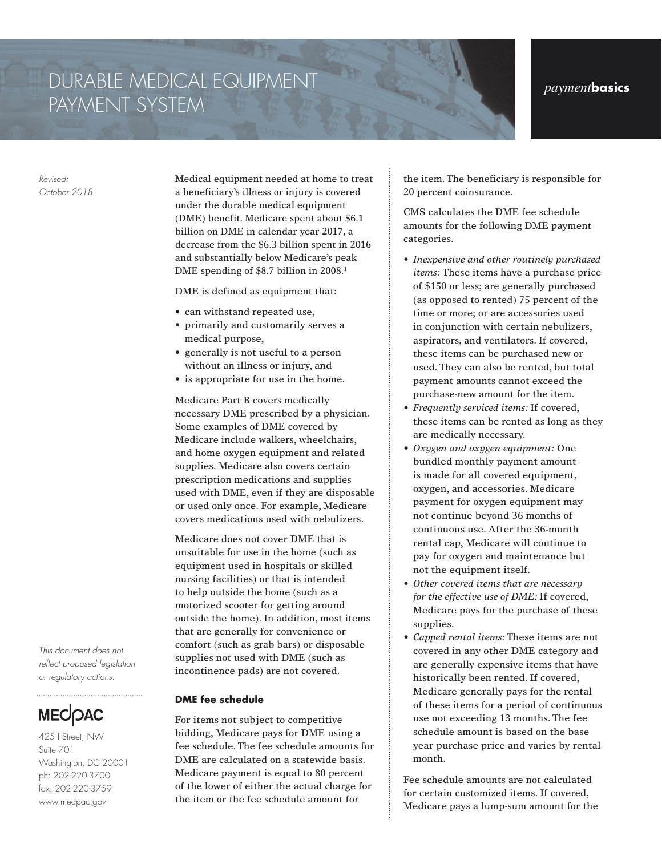## DURABLE MEDICAL EQUIPMENT *payment***basics** PAYMENT SYSTEM

*Revised: October 2018* Medical equipment needed at home to treat a beneficiary's illness or injury is covered under the durable medical equipment (DME) benefit. Medicare spent about \$6.1 billion on DME in calendar year 2017, a decrease from the \$6.3 billion spent in 2016 and substantially below Medicare's peak DME spending of \$8.7 billion in 2008.<sup>1</sup>

DME is defined as equipment that:

- can withstand repeated use,
- primarily and customarily serves a medical purpose,
- generally is not useful to a person without an illness or injury, and
- is appropriate for use in the home.

Medicare Part B covers medically necessary DME prescribed by a physician. Some examples of DME covered by Medicare include walkers, wheelchairs, and home oxygen equipment and related supplies. Medicare also covers certain prescription medications and supplies used with DME, even if they are disposable or used only once. For example, Medicare covers medications used with nebulizers.

Medicare does not cover DME that is unsuitable for use in the home (such as equipment used in hospitals or skilled nursing facilities) or that is intended to help outside the home (such as a motorized scooter for getting around outside the home). In addition, most items that are generally for convenience or comfort (such as grab bars) or disposable supplies not used with DME (such as incontinence pads) are not covered.

**DME fee schedule**

For items not subject to competitive bidding, Medicare pays for DME using a fee schedule. The fee schedule amounts for DME are calculated on a statewide basis. Medicare payment is equal to 80 percent of the lower of either the actual charge for the item or the fee schedule amount for

the item. The beneficiary is responsible for 20 percent coinsurance.

CMS calculates the DME fee schedule amounts for the following DME payment categories.

- *• Inexpensive and other routinely purchased items:* These items have a purchase price of \$150 or less; are generally purchased (as opposed to rented) 75 percent of the time or more; or are accessories used in conjunction with certain nebulizers, aspirators, and ventilators. If covered, these items can be purchased new or used. They can also be rented, but total payment amounts cannot exceed the purchase-new amount for the item.
- *• Frequently serviced items:* If covered, these items can be rented as long as they are medically necessary.
- *• Oxygen and oxygen equipment:* One bundled monthly payment amount is made for all covered equipment, oxygen, and accessories. Medicare payment for oxygen equipment may not continue beyond 36 months of continuous use. After the 36-month rental cap, Medicare will continue to pay for oxygen and maintenance but not the equipment itself.
- *• Other covered items that are necessary for the effective use of DME:* If covered, Medicare pays for the purchase of these supplies.
- *• Capped rental items:* These items are not covered in any other DME category and are generally expensive items that have historically been rented. If covered, Medicare generally pays for the rental of these items for a period of continuous use not exceeding 13 months. The fee schedule amount is based on the base year purchase price and varies by rental month.

Fee schedule amounts are not calculated for certain customized items. If covered, Medicare pays a lump-sum amount for the

*This document does not reflect proposed legislation or regulatory actions.*



425 I Street, NW Suite 701 Washington, DC 20001 ph: 202-220-3700 fax: 202-220-3759 www.medpac.gov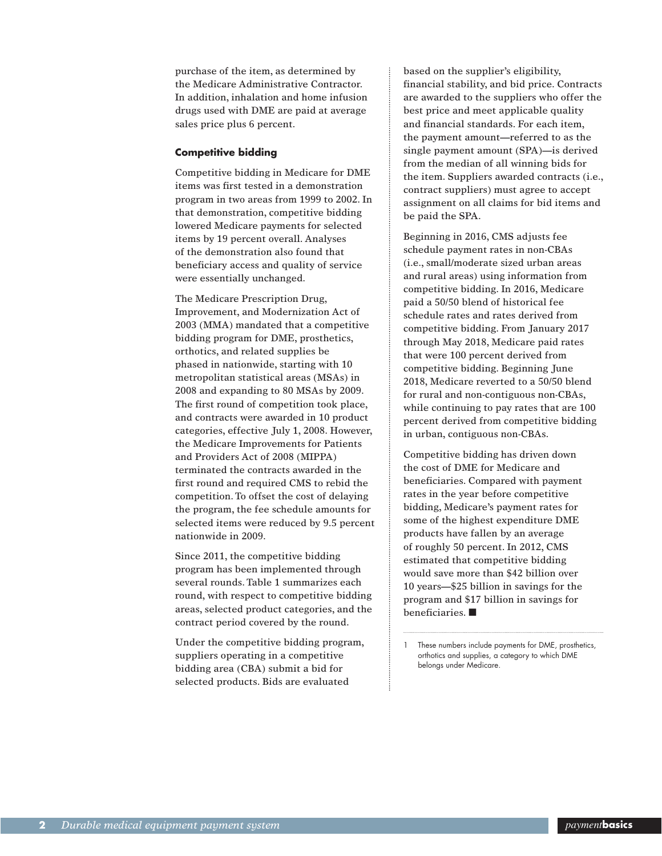purchase of the item, as determined by the Medicare Administrative Contractor. In addition, inhalation and home infusion drugs used with DME are paid at average sales price plus 6 percent.

## **Competitive bidding**

Competitive bidding in Medicare for DME items was first tested in a demonstration program in two areas from 1999 to 2002. In that demonstration, competitive bidding lowered Medicare payments for selected items by 19 percent overall. Analyses of the demonstration also found that beneficiary access and quality of service were essentially unchanged.

The Medicare Prescription Drug, Improvement, and Modernization Act of 2003 (MMA) mandated that a competitive bidding program for DME, prosthetics, orthotics, and related supplies be phased in nationwide, starting with 10 metropolitan statistical areas (MSAs) in 2008 and expanding to 80 MSAs by 2009. The first round of competition took place, and contracts were awarded in 10 product categories, effective July 1, 2008. However, the Medicare Improvements for Patients and Providers Act of 2008 (MIPPA) terminated the contracts awarded in the first round and required CMS to rebid the competition. To offset the cost of delaying the program, the fee schedule amounts for selected items were reduced by 9.5 percent nationwide in 2009.

Since 2011, the competitive bidding program has been implemented through several rounds. Table 1 summarizes each round, with respect to competitive bidding areas, selected product categories, and the contract period covered by the round.

Under the competitive bidding program, suppliers operating in a competitive bidding area (CBA) submit a bid for selected products. Bids are evaluated

based on the supplier's eligibility, financial stability, and bid price. Contracts are awarded to the suppliers who offer the best price and meet applicable quality and financial standards. For each item, the payment amount—referred to as the single payment amount (SPA)—is derived from the median of all winning bids for the item. Suppliers awarded contracts (i.e., contract suppliers) must agree to accept assignment on all claims for bid items and be paid the SPA.

Beginning in 2016, CMS adjusts fee schedule payment rates in non-CBAs (i.e., small/moderate sized urban areas and rural areas) using information from competitive bidding. In 2016, Medicare paid a 50/50 blend of historical fee schedule rates and rates derived from competitive bidding. From January 2017 through May 2018, Medicare paid rates that were 100 percent derived from competitive bidding. Beginning June 2018, Medicare reverted to a 50/50 blend for rural and non-contiguous non-CBAs, while continuing to pay rates that are 100 percent derived from competitive bidding in urban, contiguous non-CBAs.

Competitive bidding has driven down the cost of DME for Medicare and beneficiaries. Compared with payment rates in the year before competitive bidding, Medicare's payment rates for some of the highest expenditure DME products have fallen by an average of roughly 50 percent. In 2012, CMS estimated that competitive bidding would save more than \$42 billion over 10 years—\$25 billion in savings for the program and \$17 billion in savings for beneficiaries. ■

These numbers include payments for DME, prosthetics, orthotics and supplies, a category to which DME belongs under Medicare.